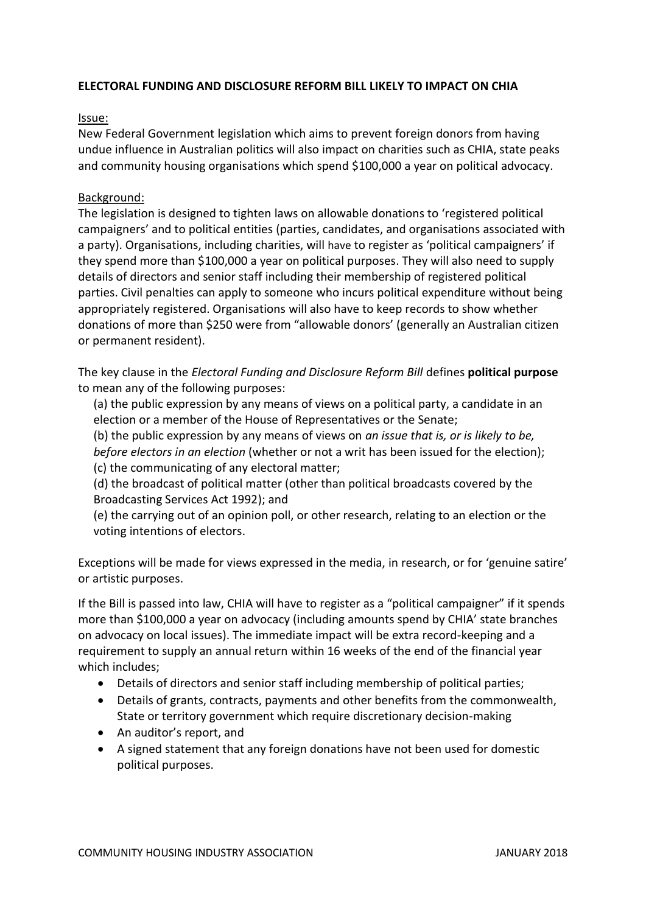## **ELECTORAL FUNDING AND DISCLOSURE REFORM BILL LIKELY TO IMPACT ON CHIA**

## Issue:

New Federal Government legislation which aims to prevent foreign donors from having undue influence in Australian politics will also impact on charities such as CHIA, state peaks and community housing organisations which spend \$100,000 a year on political advocacy.

## Background:

The legislation is designed to tighten laws on allowable donations to 'registered political campaigners' and to political entities (parties, candidates, and organisations associated with a party). Organisations, including charities, will have to register as 'political campaigners' if they spend more than \$100,000 a year on political purposes. They will also need to supply details of directors and senior staff including their membership of registered political parties. Civil penalties can apply to someone who incurs political expenditure without being appropriately registered. Organisations will also have to keep records to show whether donations of more than \$250 were from "allowable donors' (generally an Australian citizen or permanent resident).

The key clause in the *Electoral Funding and Disclosure Reform Bill* defines **political purpose** to mean any of the following purposes:

(a) the public expression by any means of views on a political party, a candidate in an election or a member of the House of Representatives or the Senate;

(b) the public expression by any means of views on *an issue that is, or is likely to be,* 

*before electors in an election* (whether or not a writ has been issued for the election);

(c) the communicating of any electoral matter;

(d) the broadcast of political matter (other than political broadcasts covered by the Broadcasting Services Act 1992); and

(e) the carrying out of an opinion poll, or other research, relating to an election or the voting intentions of electors.

Exceptions will be made for views expressed in the media, in research, or for 'genuine satire' or artistic purposes.

If the Bill is passed into law, CHIA will have to register as a "political campaigner" if it spends more than \$100,000 a year on advocacy (including amounts spend by CHIA' state branches on advocacy on local issues). The immediate impact will be extra record-keeping and a requirement to supply an annual return within 16 weeks of the end of the financial year which includes;

- Details of directors and senior staff including membership of political parties;
- Details of grants, contracts, payments and other benefits from the commonwealth, State or territory government which require discretionary decision-making
- An auditor's report, and
- A signed statement that any foreign donations have not been used for domestic political purposes.